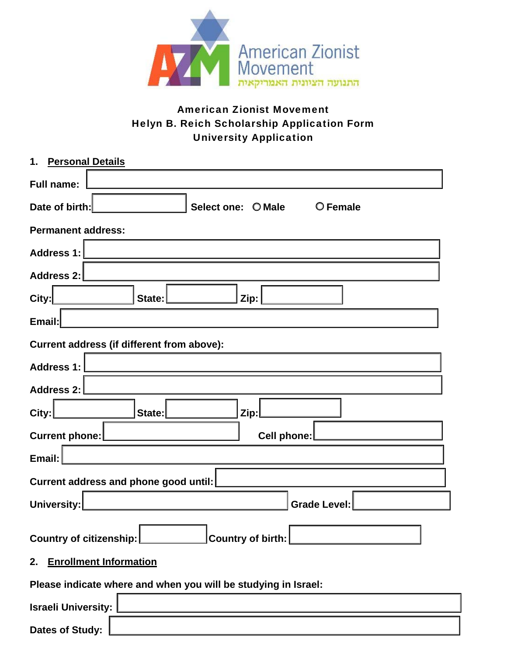

# American Zionist Movement Helyn B. Reich Scholarship Application Form University Application

| 1. Personal Details                                            |  |  |  |  |
|----------------------------------------------------------------|--|--|--|--|
| <b>Full name:</b>                                              |  |  |  |  |
| Date of birth:<br>Select one: O Male<br>O Female               |  |  |  |  |
| <b>Permanent address:</b>                                      |  |  |  |  |
| <b>Address 1:</b>                                              |  |  |  |  |
| Address 2:                                                     |  |  |  |  |
| City:<br>State:<br>Zip:                                        |  |  |  |  |
| Email:                                                         |  |  |  |  |
| Current address (if different from above):                     |  |  |  |  |
| <b>Address 1:</b>                                              |  |  |  |  |
| <b>Address 2:</b>                                              |  |  |  |  |
| City:<br>State:<br>Zip:                                        |  |  |  |  |
| Current phone:<br>Cell phone:                                  |  |  |  |  |
| Email:                                                         |  |  |  |  |
| Current address and phone good until:                          |  |  |  |  |
| <b>Grade Level:</b><br><b>University:</b>                      |  |  |  |  |
| $\sf JCountry$ of birth: $\sf L$<br>Country of citizenship:    |  |  |  |  |
| 2. Enrollment Information                                      |  |  |  |  |
| Please indicate where and when you will be studying in Israel: |  |  |  |  |
| <b>Israeli University:</b>                                     |  |  |  |  |
| <b>Dates of Study:</b>                                         |  |  |  |  |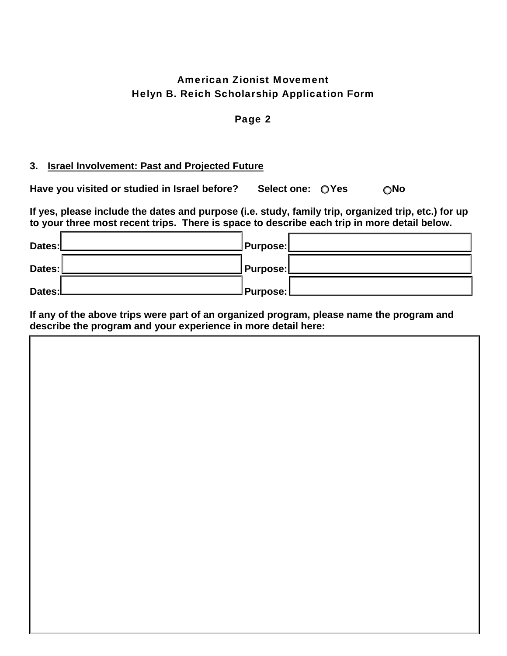## American Zionist Movement Helyn B. Reich Scholarship Application Form

#### Page 2

#### **3. Israel Involvement: Past and Projected Future**

Have you visited or studied in Israel before? Select one: OYes ONo

**If yes, please include the dates and purpose (i.e. study, family trip, organized trip, etc.) for up to your three most recent trips. There is space to describe each trip in more detail below.** 

| Dates:L | ∐Purpose: <u>∣</u> |  |
|---------|--------------------|--|
| Dates:  | ∏Purpose:          |  |
| Dates:L | JPurpose:L         |  |

**If any of the above trips were part of an organized program, please name the program and describe the program and your experience in more detail here:**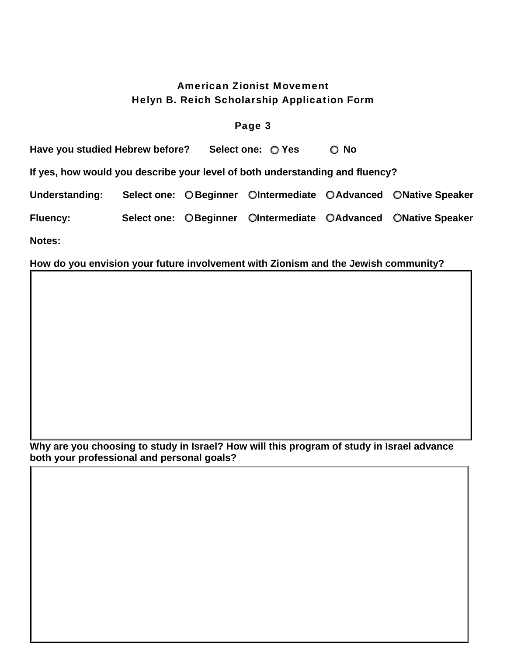## American Zionist Movement Helyn B. Reich Scholarship Application Form

#### Page 3

Have you studied Hebrew before? Select one:  $\bigcirc$  Yes  $\bigcirc$  No **If yes, how would you describe your level of both understanding and fluency?**  Understanding: Select one: O Beginner OIntermediate O Advanced O Native Speaker Fluency: Select one: OBeginner OIntermediate OAdvanced ONative Speaker

**Notes:** 

#### **How do you envision your future involvement with Zionism and the Jewish community?**

**Why are you choosing to study in Israel? How will this program of study in Israel advance both your professional and personal goals?**